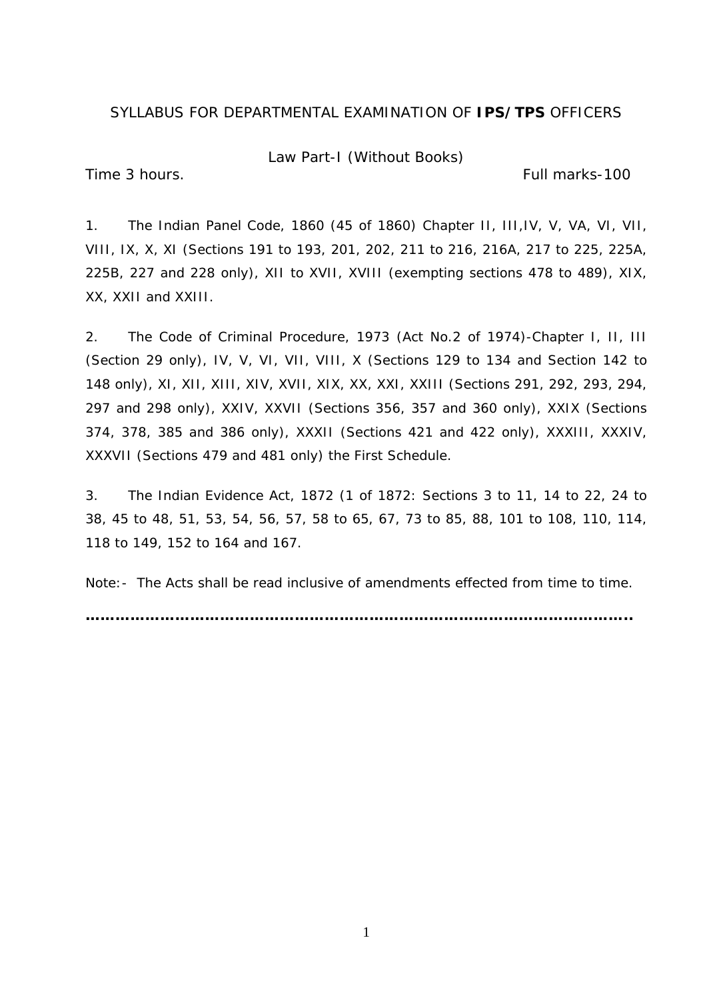Law Part-I (Without Books)

Time 3 hours. Time 3 hours.

1. The Indian Panel Code, 1860 (45 of 1860) Chapter II, III,IV, V, VA, VI, VII, VIII, IX, X, XI (Sections 191 to 193, 201, 202, 211 to 216, 216A, 217 to 225, 225A, 225B, 227 and 228 only), XII to XVII, XVIII (exempting sections 478 to 489), XIX, XX, XXII and XXIII.

2. The Code of Criminal Procedure, 1973 (Act No.2 of 1974)-Chapter I, II, III (Section 29 only), IV, V, VI, VII, VIII, X (Sections 129 to 134 and Section 142 to 148 only), XI, XII, XIII, XIV, XVII, XIX, XX, XXI, XXIII (Sections 291, 292, 293, 294, 297 and 298 only), XXIV, XXVII (Sections 356, 357 and 360 only), XXIX (Sections 374, 378, 385 and 386 only), XXXII (Sections 421 and 422 only), XXXIII, XXXIV, XXXVII (Sections 479 and 481 only) the First Schedule.

3. The Indian Evidence Act, 1872 (1 of 1872: Sections 3 to 11, 14 to 22, 24 to 38, 45 to 48, 51, 53, 54, 56, 57, 58 to 65, 67, 73 to 85, 88, 101 to 108, 110, 114, 118 to 149, 152 to 164 and 167.

Note:- The Acts shall be read inclusive of amendments effected from time to time.

**………………………………………………………………………………………………..**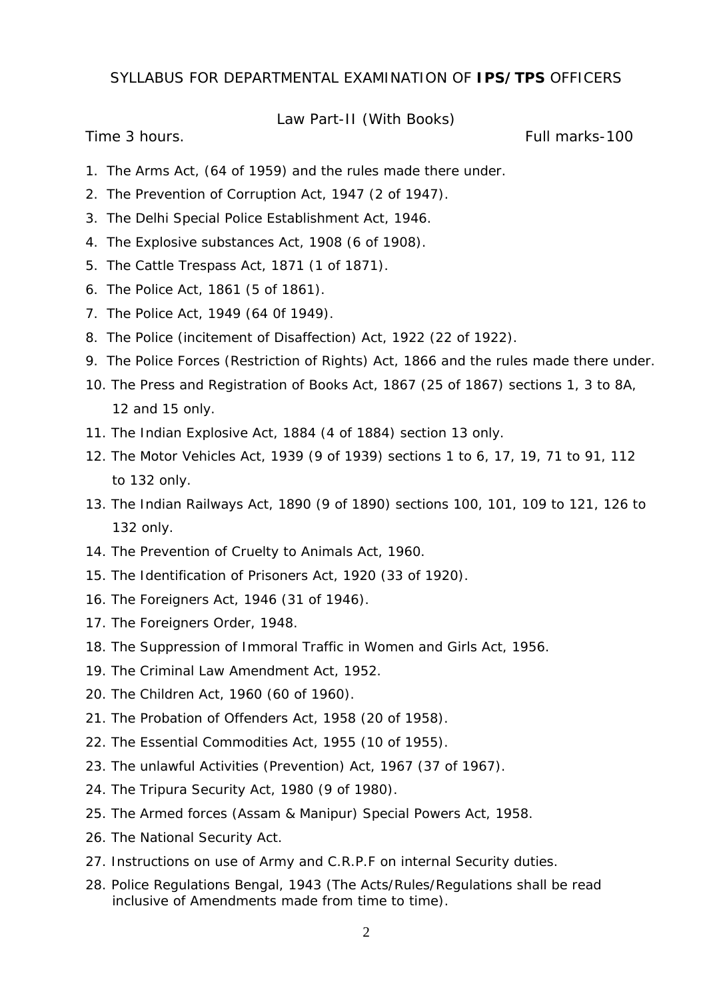### Law Part-II (With Books)

Time 3 hours. Full marks-100

- 1. The Arms Act, (64 of 1959) and the rules made there under.
- 2. The Prevention of Corruption Act, 1947 (2 of 1947).
- 3. The Delhi Special Police Establishment Act, 1946.
- 4. The Explosive substances Act, 1908 (6 of 1908).
- 5. The Cattle Trespass Act, 1871 (1 of 1871).
- 6. The Police Act, 1861 (5 of 1861).
- 7. The Police Act, 1949 (64 0f 1949).
- 8. The Police (incitement of Disaffection) Act, 1922 (22 of 1922).
- 9. The Police Forces (Restriction of Rights) Act, 1866 and the rules made there under.
- 10. The Press and Registration of Books Act, 1867 (25 of 1867) sections 1, 3 to 8A, 12 and 15 only.
- 11. The Indian Explosive Act, 1884 (4 of 1884) section 13 only.
- 12. The Motor Vehicles Act, 1939 (9 of 1939) sections 1 to 6, 17, 19, 71 to 91, 112 to 132 only.
- 13. The Indian Railways Act, 1890 (9 of 1890) sections 100, 101, 109 to 121, 126 to 132 only.
- 14. The Prevention of Cruelty to Animals Act, 1960.
- 15. The Identification of Prisoners Act, 1920 (33 of 1920).
- 16. The Foreigners Act, 1946 (31 of 1946).
- 17. The Foreigners Order, 1948.
- 18. The Suppression of Immoral Traffic in Women and Girls Act, 1956.
- 19. The Criminal Law Amendment Act, 1952.
- 20. The Children Act, 1960 (60 of 1960).
- 21. The Probation of Offenders Act, 1958 (20 of 1958).
- 22. The Essential Commodities Act, 1955 (10 of 1955).
- 23. The unlawful Activities (Prevention) Act, 1967 (37 of 1967).
- 24. The Tripura Security Act, 1980 (9 of 1980).
- 25. The Armed forces (Assam & Manipur) Special Powers Act, 1958.
- 26. The National Security Act.
- 27. Instructions on use of Army and C.R.P.F on internal Security duties.
- 28. Police Regulations Bengal, 1943 (The Acts/Rules/Regulations shall be read inclusive of Amendments made from time to time).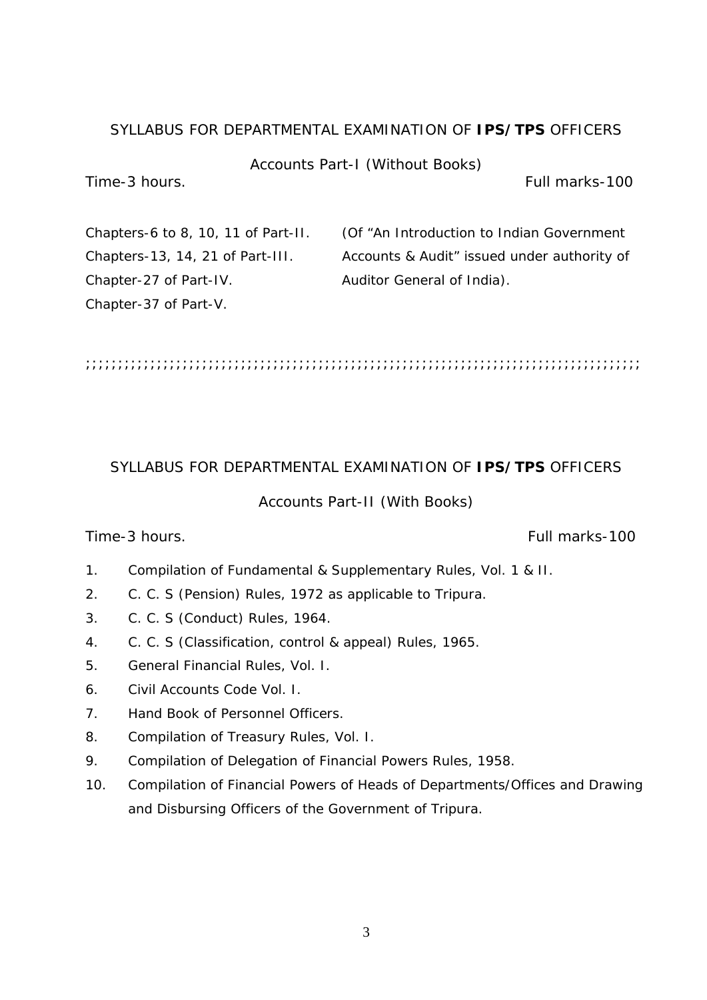# Accounts Part-I (Without Books)

Time-3 hours. Full marks-100

Chapter-27 of Part-IV. Auditor General of India). Chapter-37 of Part-V.

Chapters-6 to 8, 10, 11 of Part-II. (Of "An Introduction to Indian Government Chapters-13, 14, 21 of Part-III. Accounts & Audit" issued under authority of

;;;;;;;;;;;;;;;;;;;;;;;;;;;;;;;;;;;;;;;;;;;;;;;;;;;;;;;;;;;;;;;;;;;;;;;;;;;;;;;;;;;;;;

# SYLLABUS FOR DEPARTMENTAL EXAMINATION OF **IPS/TPS** OFFICERS

### Accounts Part-II (With Books)

# Time-3 hours. Full marks-100

- 1. Compilation of Fundamental & Supplementary Rules, Vol. 1 & II.
- 2. C. C. S (Pension) Rules, 1972 as applicable to Tripura.
- 3. C. C. S (Conduct) Rules, 1964.
- 4. C. C. S (Classification, control & appeal) Rules, 1965.
- 5. General Financial Rules, Vol. I.
- 6. Civil Accounts Code Vol. I.
- 7. Hand Book of Personnel Officers.
- 8. Compilation of Treasury Rules, Vol. I.
- 9. Compilation of Delegation of Financial Powers Rules, 1958.
- 10. Compilation of Financial Powers of Heads of Departments/Offices and Drawing and Disbursing Officers of the Government of Tripura.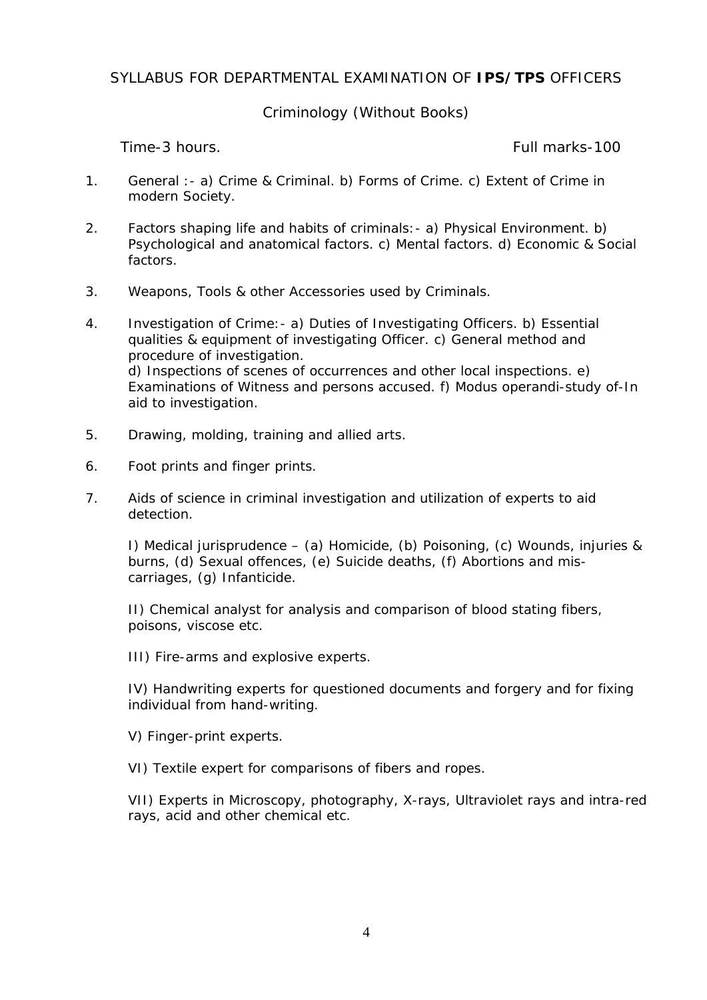# Criminology (Without Books)

Time-3 hours. Full marks-100

- 1. General :- a) Crime & Criminal. b) Forms of Crime. c) Extent of Crime in modern Society.
- 2. Factors shaping life and habits of criminals:- a) Physical Environment. b) Psychological and anatomical factors. c) Mental factors. d) Economic & Social factors.
- 3. Weapons, Tools & other Accessories used by Criminals.
- 4. Investigation of Crime:- a) Duties of Investigating Officers. b) Essential qualities & equipment of investigating Officer. c) General method and procedure of investigation. d) Inspections of scenes of occurrences and other local inspections. e) Examinations of Witness and persons accused. f) Modus operandi-study of-In aid to investigation.
- 5. Drawing, molding, training and allied arts.
- 6. Foot prints and finger prints.
- 7. Aids of science in criminal investigation and utilization of experts to aid detection.

I) Medical jurisprudence – (a) Homicide, (b) Poisoning, (c) Wounds, injuries & burns, (d) Sexual offences, (e) Suicide deaths, (f) Abortions and miscarriages, (g) Infanticide.

 II) Chemical analyst for analysis and comparison of blood stating fibers, poisons, viscose etc.

III) Fire-arms and explosive experts.

IV) Handwriting experts for questioned documents and forgery and for fixing individual from hand-writing.

V) Finger-print experts.

VI) Textile expert for comparisons of fibers and ropes.

VII) Experts in Microscopy, photography, X-rays, Ultraviolet rays and intra-red rays, acid and other chemical etc.